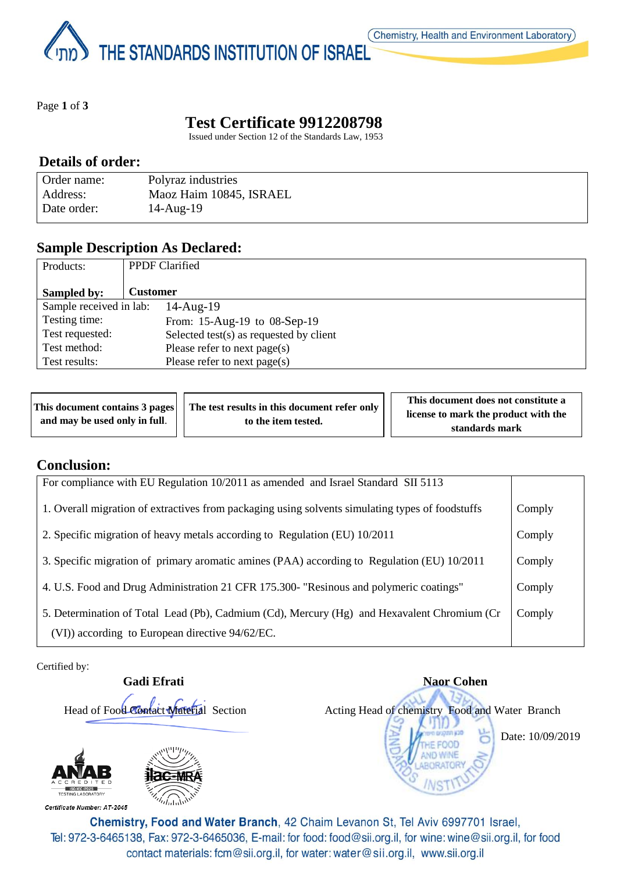THE STANDARDS INSTITUTION OF ISRAEL

Page **1** of **3**

# **Test Certificate 9912208798**

Issued under Section 12 of the Standards Law, 1953

#### **Details of order:**

| Order name: | Polyraz industries      |
|-------------|-------------------------|
| Address:    | Maoz Haim 10845, ISRAEL |
| Date order: | $14$ -Aug- $19$         |

### **Sample Description As Declared:**

| Products:                                                     | <b>PPDF</b> Clarified        |  |
|---------------------------------------------------------------|------------------------------|--|
| Sampled by:                                                   | <b>Customer</b>              |  |
| Sample received in lab:                                       | $14$ -Aug- $19$              |  |
| Testing time:                                                 | From: 15-Aug-19 to 08-Sep-19 |  |
| Test requested:<br>Selected test $(s)$ as requested by client |                              |  |
| Test method:<br>Please refer to next page(s)                  |                              |  |
| Test results:                                                 | Please refer to next page(s) |  |

| This document contains 3 pages | The test results in this document refer only | This document does not constitute a  |
|--------------------------------|----------------------------------------------|--------------------------------------|
| and may be used only in full.  | to the item tested.                          | license to mark the product with the |
|                                |                                              | standards mark                       |

### **Conclusion:**

| For compliance with EU Regulation 10/2011 as amended and Israel Standard SII 5113                |        |
|--------------------------------------------------------------------------------------------------|--------|
| 1. Overall migration of extractives from packaging using solvents simulating types of foodstuffs | Comply |
| 2. Specific migration of heavy metals according to Regulation (EU) 10/2011                       | Comply |
| 3. Specific migration of primary aromatic amines (PAA) according to Regulation (EU) 10/2011      | Comply |
| 4. U.S. Food and Drug Administration 21 CFR 175.300- "Resinous and polymeric coatings"           | Comply |
| 5. Determination of Total Lead (Pb), Cadmium (Cd), Mercury (Hg) and Hexavalent Chromium (Cr      | Comply |
| (VI)) according to European directive 94/62/EC.                                                  |        |

Certified by:

**Gadi Efrati** Naor Cohen



Head of Food Contact Material Section Acting Head of chemistry Food and Water Branch Date: 10/09/2019

Certificate Number: AT-2045

Chemistry, Food and Water Branch, 42 Chaim Levanon St, Tel Aviv 6997701 Israel, Tel: 972-3-6465138, Fax: 972-3-6465036, E-mail: for food: food@sii.org.il, for wine: wine@sii.org.il, for food contact materials: fcm@sii.org.il, for water: water@sii.org.il, www.sii.org.il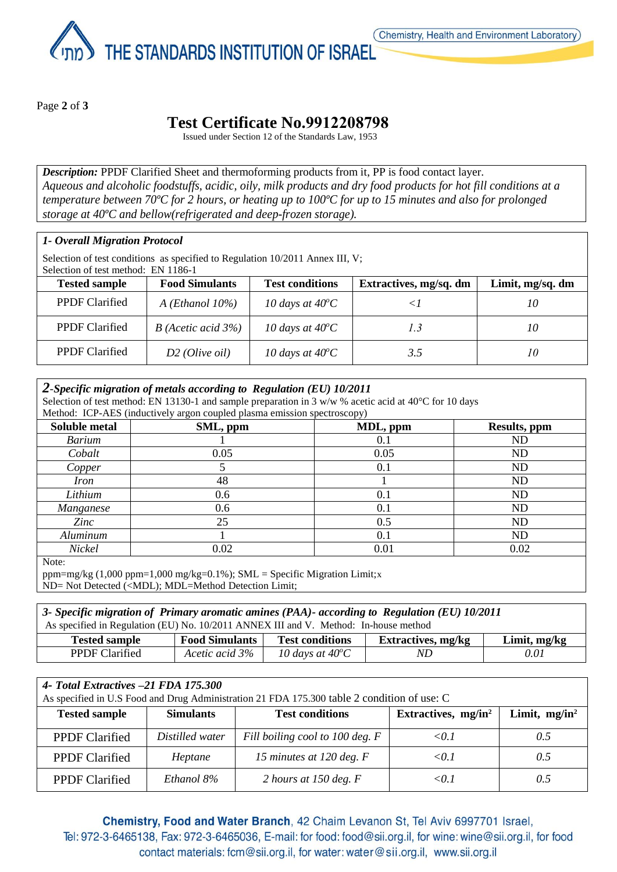THE STANDARDS INSTITUTION OF ISRAEL

Page **2** of **3**

## **Test Certificate No.9912208798**

Issued under Section 12 of the Standards Law, 1953

*Description:* PPDF Clarified Sheet and thermoforming products from it, PP is food contact layer. *Aqueous and alcoholic foodstuffs, acidic, oily, milk products and dry food products for hot fill conditions at a temperature between 70ºC for 2 hours, or heating up to 100ºC for up to 15 minutes and also for prolonged storage at 40ºC and bellow(refrigerated and deep-frozen storage).*

#### *1- Overall Migration Protocol*

Selection of test conditions as specified to Regulation 10/2011 Annex III, V; Selection of test method: EN 1186-1

| <b>Tested sample</b>  | <b>Food Simulants</b>     | <b>Test conditions</b>    | Extractives, mg/sq. dm | Limit, mg/sq. dm |
|-----------------------|---------------------------|---------------------------|------------------------|------------------|
| <b>PPDF</b> Clarified | $A$ ( <i>Ethanol</i> 10%) | 10 days at $40^{\circ}$ C |                        | 10               |
| <b>PPDF</b> Clarified | $B$ (Acetic acid 3%)      | 10 days at $40^{\circ}$ C | 1.3                    | 10               |
| <b>PPDF</b> Clarified | $D2$ (Olive oil)          | 10 days at $40^{\circ}$ C | 3.5                    | 10               |

| 2-Specific migration of metals according to Regulation (EU) $10/2011$<br>Selection of test method: EN 13130-1 and sample preparation in 3 w/w % acetic acid at $40^{\circ}$ C for 10 days<br>Method: ICP-AES (inductively argon coupled plasma emission spectroscopy) |          |          |                |  |
|-----------------------------------------------------------------------------------------------------------------------------------------------------------------------------------------------------------------------------------------------------------------------|----------|----------|----------------|--|
| <b>Soluble metal</b>                                                                                                                                                                                                                                                  | SML, ppm | MDL, ppm | Results, ppm   |  |
| <b>Barium</b>                                                                                                                                                                                                                                                         |          | 0.1      | ND             |  |
| Cobalt                                                                                                                                                                                                                                                                | 0.05     | 0.05     | ND             |  |
| Copper                                                                                                                                                                                                                                                                |          | 0.1      | ND             |  |
| <i>Iron</i>                                                                                                                                                                                                                                                           | 48       |          | N <sub>D</sub> |  |
| Lithium                                                                                                                                                                                                                                                               | 0.6      | 0.1      | ND             |  |
| Manganese                                                                                                                                                                                                                                                             | 0.6      | 0.1      | ND             |  |
| Zinc                                                                                                                                                                                                                                                                  | 25       | 0.5      | ND             |  |
| Aluminum                                                                                                                                                                                                                                                              |          | 0.1      | N <sub>D</sub> |  |
| Nickel                                                                                                                                                                                                                                                                | 0.02     | 0.01     | 0.02           |  |

Note:

ppm=mg/kg  $(1,000 \text{ ppm}=1,000 \text{ mg/kg}=0.1\%)$ ; SML = Specific Migration Limit;x ND= Not Detected (<MDL); MDL=Method Detection Limit;

*3- Specific migration of Primary aromatic amines (PAA)- according to Regulation (EU) 10/2011* As specified in Regulation (EU) No. 10/2011 ANNEX III and V. Method: In-house method **Tested sample Food Simulants Test conditions Extractives, mg/kg Limit, mg/kg**

| <b>PPDF Clarified</b>                                                                        | Acetic acid 3%   | 10 days at $40^{\circ}$ C | ND                     | 0.01             |  |
|----------------------------------------------------------------------------------------------|------------------|---------------------------|------------------------|------------------|--|
|                                                                                              |                  |                           |                        |                  |  |
| 4- Total Extractives -21 FDA 175.300                                                         |                  |                           |                        |                  |  |
| As specified in U.S. Food and Drug Administration 21 FDA 175.300 table 2 condition of use: C |                  |                           |                        |                  |  |
| <b>Tested sample</b>                                                                         | <b>Simulants</b> | <b>Test conditions</b>    | Extractives, $mg/in^2$ | Limit, $mg/in^2$ |  |

| Tested sample         | <b>Simulants</b> | Test conditions                 | Extractives, $mg/in^2$ | Limit, $mg/in^2$ |
|-----------------------|------------------|---------------------------------|------------------------|------------------|
| <b>PPDF</b> Clarified | Distilled water  | Fill boiling cool to 100 deg. F | $<$ 0.1 $\,$           | 0.5              |
| <b>PPDF</b> Clarified | Heptane          | 15 minutes at 120 deg. $F$      | $<$ 0.1 $\,$           | 0.5              |
| <b>PPDF</b> Clarified | Ethanol 8%       | 2 hours at 150 deg. $F$         | $<$ 0.1 $\,$           | 0.5              |

Chemistry, Food and Water Branch, 42 Chaim Levanon St, Tel Aviv 6997701 Israel, Tel: 972-3-6465138, Fax: 972-3-6465036, E-mail: for food: food@sii.org.il, for wine: wine@sii.org.il, for food contact materials: fcm@sii.org.il, for water: water@sii.org.il, www.sii.org.il